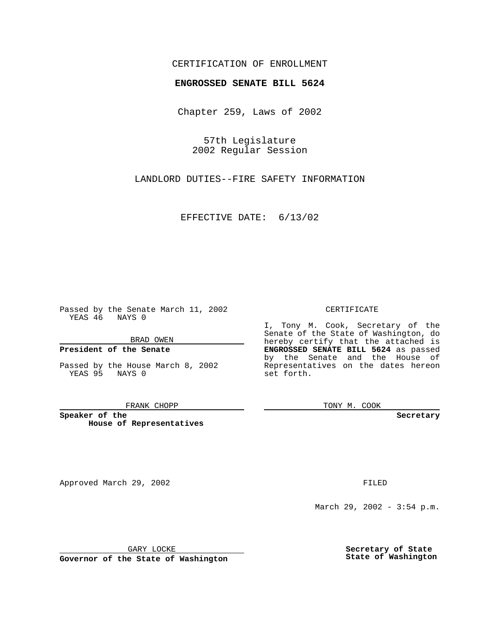## CERTIFICATION OF ENROLLMENT

# **ENGROSSED SENATE BILL 5624**

Chapter 259, Laws of 2002

57th Legislature 2002 Regular Session

LANDLORD DUTIES--FIRE SAFETY INFORMATION

EFFECTIVE DATE: 6/13/02

Passed by the Senate March 11, 2002 YEAS 46 NAYS 0

BRAD OWEN

### **President of the Senate**

Passed by the House March 8, 2002 YEAS 95 NAYS 0

#### FRANK CHOPP

**Speaker of the House of Representatives**

Approved March 29, 2002 **FILED** 

#### CERTIFICATE

I, Tony M. Cook, Secretary of the Senate of the State of Washington, do hereby certify that the attached is **ENGROSSED SENATE BILL 5624** as passed by the Senate and the House of Representatives on the dates hereon set forth.

TONY M. COOK

**Secretary**

March 29, 2002 - 3:54 p.m.

GARY LOCKE

**Governor of the State of Washington**

**Secretary of State State of Washington**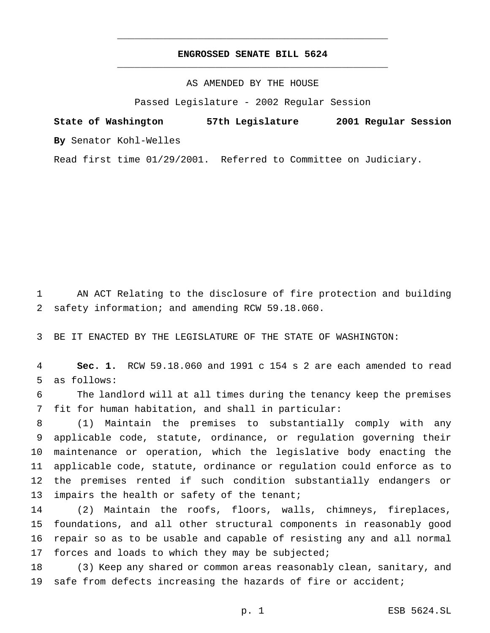# **ENGROSSED SENATE BILL 5624** \_\_\_\_\_\_\_\_\_\_\_\_\_\_\_\_\_\_\_\_\_\_\_\_\_\_\_\_\_\_\_\_\_\_\_\_\_\_\_\_\_\_\_\_\_\_\_

\_\_\_\_\_\_\_\_\_\_\_\_\_\_\_\_\_\_\_\_\_\_\_\_\_\_\_\_\_\_\_\_\_\_\_\_\_\_\_\_\_\_\_\_\_\_\_

AS AMENDED BY THE HOUSE

Passed Legislature - 2002 Regular Session

**State of Washington 57th Legislature 2001 Regular Session By** Senator Kohl-Welles

Read first time 01/29/2001. Referred to Committee on Judiciary.

1 AN ACT Relating to the disclosure of fire protection and building 2 safety information; and amending RCW 59.18.060.

3 BE IT ENACTED BY THE LEGISLATURE OF THE STATE OF WASHINGTON:

4 **Sec. 1.** RCW 59.18.060 and 1991 c 154 s 2 are each amended to read 5 as follows:

6 The landlord will at all times during the tenancy keep the premises 7 fit for human habitation, and shall in particular:

 (1) Maintain the premises to substantially comply with any applicable code, statute, ordinance, or regulation governing their maintenance or operation, which the legislative body enacting the applicable code, statute, ordinance or regulation could enforce as to the premises rented if such condition substantially endangers or 13 impairs the health or safety of the tenant;

 (2) Maintain the roofs, floors, walls, chimneys, fireplaces, foundations, and all other structural components in reasonably good repair so as to be usable and capable of resisting any and all normal 17 forces and loads to which they may be subjected;

18 (3) Keep any shared or common areas reasonably clean, sanitary, and 19 safe from defects increasing the hazards of fire or accident;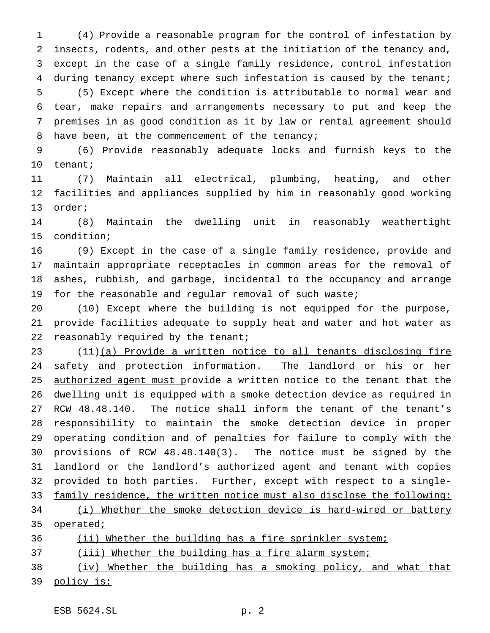(4) Provide a reasonable program for the control of infestation by insects, rodents, and other pests at the initiation of the tenancy and, except in the case of a single family residence, control infestation 4 during tenancy except where such infestation is caused by the tenant; (5) Except where the condition is attributable to normal wear and tear, make repairs and arrangements necessary to put and keep the premises in as good condition as it by law or rental agreement should 8 have been, at the commencement of the tenancy;

 (6) Provide reasonably adequate locks and furnish keys to the tenant;

 (7) Maintain all electrical, plumbing, heating, and other facilities and appliances supplied by him in reasonably good working order;

 (8) Maintain the dwelling unit in reasonably weathertight condition;

 (9) Except in the case of a single family residence, provide and maintain appropriate receptacles in common areas for the removal of ashes, rubbish, and garbage, incidental to the occupancy and arrange for the reasonable and regular removal of such waste;

 (10) Except where the building is not equipped for the purpose, provide facilities adequate to supply heat and water and hot water as 22 reasonably required by the tenant;

23 (11)(a) Provide a written notice to all tenants disclosing fire 24 safety and protection information. The landlord or his or her 25 authorized agent must provide a written notice to the tenant that the dwelling unit is equipped with a smoke detection device as required in RCW 48.48.140. The notice shall inform the tenant of the tenant's responsibility to maintain the smoke detection device in proper operating condition and of penalties for failure to comply with the provisions of RCW 48.48.140(3). The notice must be signed by the landlord or the landlord's authorized agent and tenant with copies 32 provided to both parties. Further, except with respect to a single-33 family residence, the written notice must also disclose the following: 34 (i) Whether the smoke detection device is hard-wired or battery operated;

36 (ii) Whether the building has a fire sprinkler system;

37 (iii) Whether the building has a fire alarm system;

 (iv) Whether the building has a smoking policy, and what that 39 policy is;